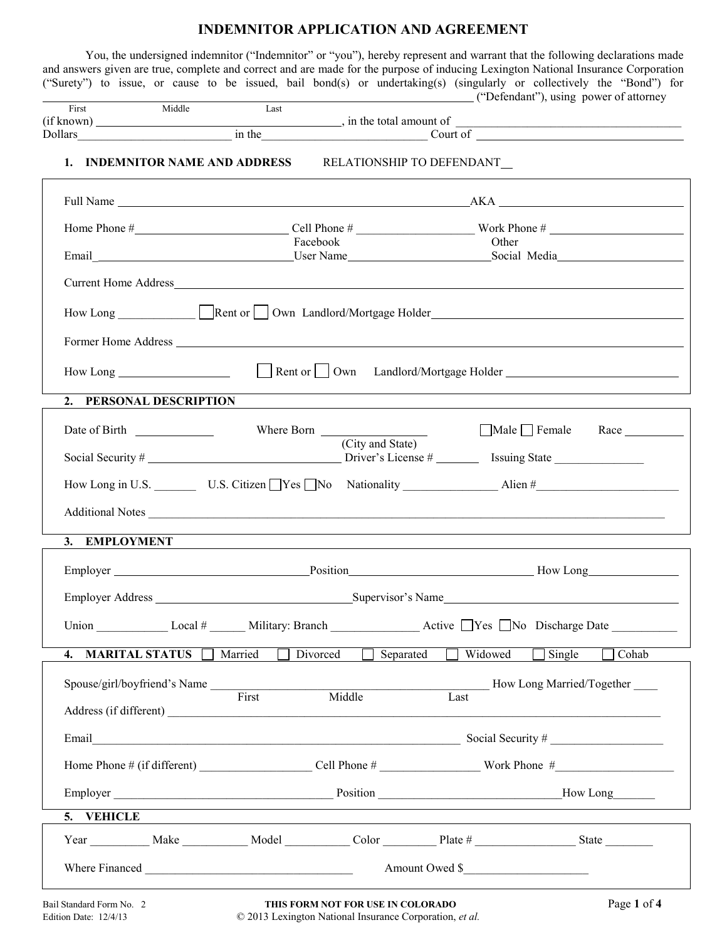## **INDEMNITOR APPLICATION AND AGREEMENT**

You, the undersigned indemnitor ("Indemnitor" or "you"), hereby represent and warrant that the following declarations made and answers given are true, complete and correct and are made for the purpose of inducing Lexington National Insurance Corporation ("Surety") to issue, or cause to be issued, bail bond(s) or undertaking(s) (singularly or collectively the "Bond") for  $("Defendant"), using power of  $\theta$$ 

| $\mathbf{r}$<br>Hrst | Middle    | Last |                        | . | -- |  |
|----------------------|-----------|------|------------------------|---|----|--|
| (if known)           |           |      | in the total amount of |   |    |  |
| Dollars              | ın<br>the |      | Court of               |   |    |  |

## **1. INDEMNITOR NAME AND ADDRESS RELATIONSHIP TO DEFENDANT\_**

|                                                              | Facebook                                                          | Other                                                                                                          |
|--------------------------------------------------------------|-------------------------------------------------------------------|----------------------------------------------------------------------------------------------------------------|
|                                                              |                                                                   |                                                                                                                |
|                                                              |                                                                   | How Long Rent or Cown Landlord/Mortgage Holder                                                                 |
|                                                              |                                                                   |                                                                                                                |
|                                                              |                                                                   |                                                                                                                |
| 2. PERSONAL DESCRIPTION                                      |                                                                   |                                                                                                                |
|                                                              | (City and State)                                                  | $\Box$ Male $\Box$ Female Race $\Box$                                                                          |
|                                                              |                                                                   | How Long in U.S. __________ U.S. Citizen Ves No Nationality ____________________Alien #_______________________ |
|                                                              |                                                                   | Additional Notes                                                                                               |
| 3. EMPLOYMENT                                                |                                                                   |                                                                                                                |
|                                                              |                                                                   |                                                                                                                |
|                                                              |                                                                   |                                                                                                                |
|                                                              |                                                                   |                                                                                                                |
|                                                              | 4. MARITAL STATUS Married Divorced Separated Widowed Single Cohab |                                                                                                                |
| Spouse/girl/boyfriend's Name First<br>Address (if different) |                                                                   | Middle Last How Long Married/Together                                                                          |
|                                                              |                                                                   | Email Social Security #                                                                                        |
|                                                              |                                                                   |                                                                                                                |
|                                                              | Employer How Long News Long                                       |                                                                                                                |
| 5. VEHICLE                                                   |                                                                   |                                                                                                                |
|                                                              | Year Make Model Color Plate # State State                         |                                                                                                                |
|                                                              |                                                                   | Amount Owed \$                                                                                                 |

Г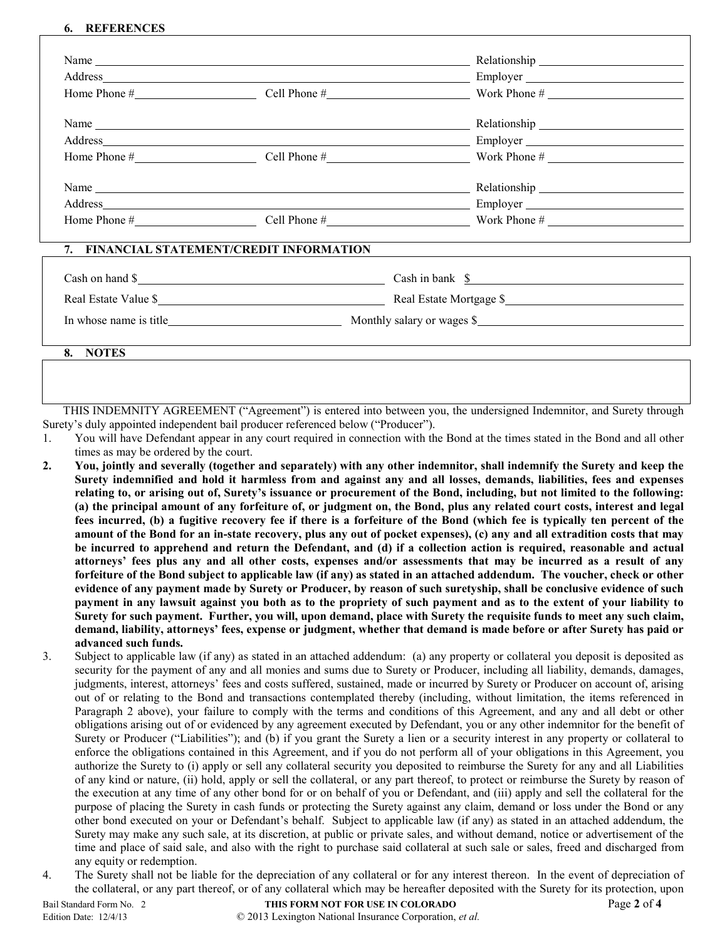## **6. REFERENCES**

|                      | Name $\frac{1}{\sqrt{1-\frac{1}{2}}\sqrt{1-\frac{1}{2}}\sqrt{1-\frac{1}{2}}\sqrt{1-\frac{1}{2}}\sqrt{1-\frac{1}{2}}\sqrt{1-\frac{1}{2}}\sqrt{1-\frac{1}{2}}\sqrt{1-\frac{1}{2}}\sqrt{1-\frac{1}{2}}\sqrt{1-\frac{1}{2}}\sqrt{1-\frac{1}{2}}\sqrt{1-\frac{1}{2}}\sqrt{1-\frac{1}{2}}\sqrt{1-\frac{1}{2}}\sqrt{1-\frac{1}{2}}\sqrt{1-\frac{1}{2}}\sqrt{1-\frac{1}{2}}\sqrt{1-\frac{1}{2}}\sqrt{1-\frac{1}{2}}\$ |                                                                 |  |
|----------------------|---------------------------------------------------------------------------------------------------------------------------------------------------------------------------------------------------------------------------------------------------------------------------------------------------------------------------------------------------------------------------------------------------------------|-----------------------------------------------------------------|--|
|                      |                                                                                                                                                                                                                                                                                                                                                                                                               |                                                                 |  |
|                      |                                                                                                                                                                                                                                                                                                                                                                                                               | Home Phone $\#$ Cell Phone $\#$ Cell Phone $\#$ Work Phone $\#$ |  |
|                      |                                                                                                                                                                                                                                                                                                                                                                                                               |                                                                 |  |
|                      |                                                                                                                                                                                                                                                                                                                                                                                                               |                                                                 |  |
|                      |                                                                                                                                                                                                                                                                                                                                                                                                               | Home Phone $\#$ Cell Phone $\#$ Work Phone $\#$                 |  |
|                      |                                                                                                                                                                                                                                                                                                                                                                                                               | Name Relationship Relationship                                  |  |
|                      |                                                                                                                                                                                                                                                                                                                                                                                                               |                                                                 |  |
|                      |                                                                                                                                                                                                                                                                                                                                                                                                               | Home Phone $\#$ Cell Phone $\#$ Work Phone $\#$                 |  |
|                      | 7. FINANCIAL STATEMENT/CREDIT INFORMATION                                                                                                                                                                                                                                                                                                                                                                     |                                                                 |  |
|                      | Cash on hand \$                                                                                                                                                                                                                                                                                                                                                                                               | Cash in bank \$                                                 |  |
| Real Estate Value \$ |                                                                                                                                                                                                                                                                                                                                                                                                               | Real Estate Mortgage \$                                         |  |

**8. NOTES**

THIS INDEMNITY AGREEMENT ("Agreement") is entered into between you, the undersigned Indemnitor, and Surety through Surety's duly appointed independent bail producer referenced below ("Producer").

In whose name is title Monthly salary or wages  $\frac{1}{2}$ 

- 1. You will have Defendant appear in any court required in connection with the Bond at the times stated in the Bond and all other times as may be ordered by the court.
- **2. You, jointly and severally (together and separately) with any other indemnitor, shall indemnify the Surety and keep the Surety indemnified and hold it harmless from and against any and all losses, demands, liabilities, fees and expenses relating to, or arising out of, Surety's issuance or procurement of the Bond, including, but not limited to the following: (a) the principal amount of any forfeiture of, or judgment on, the Bond, plus any related court costs, interest and legal fees incurred, (b) a fugitive recovery fee if there is a forfeiture of the Bond (which fee is typically ten percent of the amount of the Bond for an in-state recovery, plus any out of pocket expenses), (c) any and all extradition costs that may be incurred to apprehend and return the Defendant, and (d) if a collection action is required, reasonable and actual attorneys' fees plus any and all other costs, expenses and/or assessments that may be incurred as a result of any forfeiture of the Bond subject to applicable law (if any) as stated in an attached addendum. The voucher, check or other evidence of any payment made by Surety or Producer, by reason of such suretyship, shall be conclusive evidence of such payment in any lawsuit against you both as to the propriety of such payment and as to the extent of your liability to Surety for such payment. Further, you will, upon demand, place with Surety the requisite funds to meet any such claim, demand, liability, attorneys' fees, expense or judgment, whether that demand is made before or after Surety has paid or advanced such funds.**
- 3. Subject to applicable law (if any) as stated in an attached addendum: (a) any property or collateral you deposit is deposited as security for the payment of any and all monies and sums due to Surety or Producer, including all liability, demands, damages, judgments, interest, attorneys' fees and costs suffered, sustained, made or incurred by Surety or Producer on account of, arising out of or relating to the Bond and transactions contemplated thereby (including, without limitation, the items referenced in Paragraph 2 above), your failure to comply with the terms and conditions of this Agreement, and any and all debt or other obligations arising out of or evidenced by any agreement executed by Defendant, you or any other indemnitor for the benefit of Surety or Producer ("Liabilities"); and (b) if you grant the Surety a lien or a security interest in any property or collateral to enforce the obligations contained in this Agreement, and if you do not perform all of your obligations in this Agreement, you authorize the Surety to (i) apply or sell any collateral security you deposited to reimburse the Surety for any and all Liabilities of any kind or nature, (ii) hold, apply or sell the collateral, or any part thereof, to protect or reimburse the Surety by reason of the execution at any time of any other bond for or on behalf of you or Defendant, and (iii) apply and sell the collateral for the purpose of placing the Surety in cash funds or protecting the Surety against any claim, demand or loss under the Bond or any other bond executed on your or Defendant's behalf. Subject to applicable law (if any) as stated in an attached addendum, the Surety may make any such sale, at its discretion, at public or private sales, and without demand, notice or advertisement of the time and place of said sale, and also with the right to purchase said collateral at such sale or sales, freed and discharged from any equity or redemption.
- 4. The Surety shall not be liable for the depreciation of any collateral or for any interest thereon. In the event of depreciation of the collateral, or any part thereof, or of any collateral which may be hereafter deposited with the Surety for its protection, upon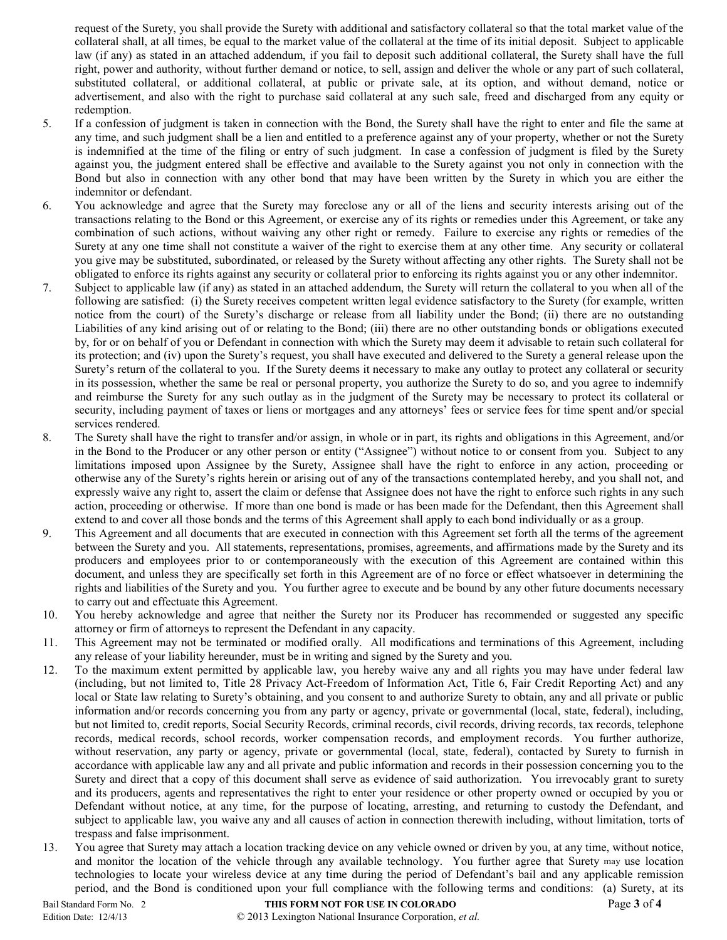request of the Surety, you shall provide the Surety with additional and satisfactory collateral so that the total market value of the collateral shall, at all times, be equal to the market value of the collateral at the time of its initial deposit. Subject to applicable law (if any) as stated in an attached addendum, if you fail to deposit such additional collateral, the Surety shall have the full right, power and authority, without further demand or notice, to sell, assign and deliver the whole or any part of such collateral, substituted collateral, or additional collateral, at public or private sale, at its option, and without demand, notice or advertisement, and also with the right to purchase said collateral at any such sale, freed and discharged from any equity or redemption.

- 5. If a confession of judgment is taken in connection with the Bond, the Surety shall have the right to enter and file the same at any time, and such judgment shall be a lien and entitled to a preference against any of your property, whether or not the Surety is indemnified at the time of the filing or entry of such judgment. In case a confession of judgment is filed by the Surety against you, the judgment entered shall be effective and available to the Surety against you not only in connection with the Bond but also in connection with any other bond that may have been written by the Surety in which you are either the indemnitor or defendant.
- 6. You acknowledge and agree that the Surety may foreclose any or all of the liens and security interests arising out of the transactions relating to the Bond or this Agreement, or exercise any of its rights or remedies under this Agreement, or take any combination of such actions, without waiving any other right or remedy. Failure to exercise any rights or remedies of the Surety at any one time shall not constitute a waiver of the right to exercise them at any other time. Any security or collateral you give may be substituted, subordinated, or released by the Surety without affecting any other rights. The Surety shall not be obligated to enforce its rights against any security or collateral prior to enforcing its rights against you or any other indemnitor.
- 7. Subject to applicable law (if any) as stated in an attached addendum, the Surety will return the collateral to you when all of the following are satisfied: (i) the Surety receives competent written legal evidence satisfactory to the Surety (for example, written notice from the court) of the Surety's discharge or release from all liability under the Bond; (ii) there are no outstanding Liabilities of any kind arising out of or relating to the Bond; (iii) there are no other outstanding bonds or obligations executed by, for or on behalf of you or Defendant in connection with which the Surety may deem it advisable to retain such collateral for its protection; and (iv) upon the Surety's request, you shall have executed and delivered to the Surety a general release upon the Surety's return of the collateral to you. If the Surety deems it necessary to make any outlay to protect any collateral or security in its possession, whether the same be real or personal property, you authorize the Surety to do so, and you agree to indemnify and reimburse the Surety for any such outlay as in the judgment of the Surety may be necessary to protect its collateral or security, including payment of taxes or liens or mortgages and any attorneys' fees or service fees for time spent and/or special services rendered.
- 8. The Surety shall have the right to transfer and/or assign, in whole or in part, its rights and obligations in this Agreement, and/or in the Bond to the Producer or any other person or entity ("Assignee") without notice to or consent from you. Subject to any limitations imposed upon Assignee by the Surety, Assignee shall have the right to enforce in any action, proceeding or otherwise any of the Surety's rights herein or arising out of any of the transactions contemplated hereby, and you shall not, and expressly waive any right to, assert the claim or defense that Assignee does not have the right to enforce such rights in any such action, proceeding or otherwise. If more than one bond is made or has been made for the Defendant, then this Agreement shall extend to and cover all those bonds and the terms of this Agreement shall apply to each bond individually or as a group.
- 9. This Agreement and all documents that are executed in connection with this Agreement set forth all the terms of the agreement between the Surety and you. All statements, representations, promises, agreements, and affirmations made by the Surety and its producers and employees prior to or contemporaneously with the execution of this Agreement are contained within this document, and unless they are specifically set forth in this Agreement are of no force or effect whatsoever in determining the rights and liabilities of the Surety and you. You further agree to execute and be bound by any other future documents necessary to carry out and effectuate this Agreement.
- 10. You hereby acknowledge and agree that neither the Surety nor its Producer has recommended or suggested any specific attorney or firm of attorneys to represent the Defendant in any capacity.
- 11. This Agreement may not be terminated or modified orally. All modifications and terminations of this Agreement, including any release of your liability hereunder, must be in writing and signed by the Surety and you.
- 12. To the maximum extent permitted by applicable law, you hereby waive any and all rights you may have under federal law (including, but not limited to, Title 28 Privacy Act-Freedom of Information Act, Title 6, Fair Credit Reporting Act) and any local or State law relating to Surety's obtaining, and you consent to and authorize Surety to obtain, any and all private or public information and/or records concerning you from any party or agency, private or governmental (local, state, federal), including, but not limited to, credit reports, Social Security Records, criminal records, civil records, driving records, tax records, telephone records, medical records, school records, worker compensation records, and employment records. You further authorize, without reservation, any party or agency, private or governmental (local, state, federal), contacted by Surety to furnish in accordance with applicable law any and all private and public information and records in their possession concerning you to the Surety and direct that a copy of this document shall serve as evidence of said authorization. You irrevocably grant to surety and its producers, agents and representatives the right to enter your residence or other property owned or occupied by you or Defendant without notice, at any time, for the purpose of locating, arresting, and returning to custody the Defendant, and subject to applicable law, you waive any and all causes of action in connection therewith including, without limitation, torts of trespass and false imprisonment.
- 13. You agree that Surety may attach a location tracking device on any vehicle owned or driven by you, at any time, without notice, and monitor the location of the vehicle through any available technology. You further agree that Surety may use location technologies to locate your wireless device at any time during the period of Defendant's bail and any applicable remission period, and the Bond is conditioned upon your full compliance with the following terms and conditions: (a) Surety, at its